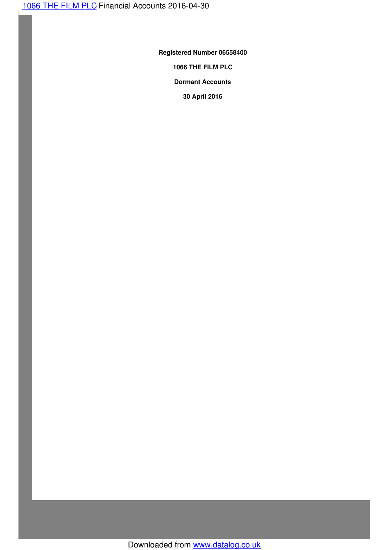**Registered Number 06558400**

**1066 THE FILM PLC**

**Dormant Accounts**

**30 April 2016**